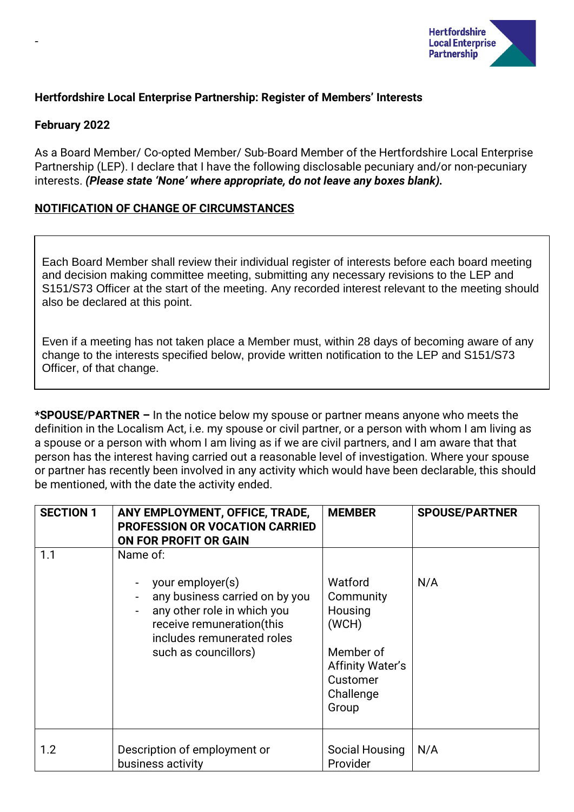

# **Hertfordshire Local Enterprise Partnership: Register of Members' Interests**

### **February 2022**

-

As a Board Member/ Co-opted Member/ Sub-Board Member of the Hertfordshire Local Enterprise Partnership (LEP). I declare that I have the following disclosable pecuniary and/or non-pecuniary interests. *(Please state 'None' where appropriate, do not leave any boxes blank).*

## **NOTIFICATION OF CHANGE OF CIRCUMSTANCES**

Each Board Member shall review their individual register of interests before each board meeting and decision making committee meeting, submitting any necessary revisions to the LEP and S151/S73 Officer at the start of the meeting. Any recorded interest relevant to the meeting should also be declared at this point.

Even if a meeting has not taken place a Member must, within 28 days of becoming aware of any change to the interests specified below, provide written notification to the LEP and S151/S73 Officer, of that change.

**\*SPOUSE/PARTNER –** In the notice below my spouse or partner means anyone who meets the definition in the Localism Act, i.e. my spouse or civil partner, or a person with whom I am living as a spouse or a person with whom I am living as if we are civil partners, and I am aware that that person has the interest having carried out a reasonable level of investigation. Where your spouse or partner has recently been involved in any activity which would have been declarable, this should be mentioned, with the date the activity ended.

| <b>SECTION 1</b> | ANY EMPLOYMENT, OFFICE, TRADE,<br><b>PROFESSION OR VOCATION CARRIED</b><br>ON FOR PROFIT OR GAIN                                                                                 | <b>MEMBER</b>                                                                                                      | <b>SPOUSE/PARTNER</b> |
|------------------|----------------------------------------------------------------------------------------------------------------------------------------------------------------------------------|--------------------------------------------------------------------------------------------------------------------|-----------------------|
| 1.1              | Name of:<br>your employer(s)<br>any business carried on by you<br>any other role in which you<br>receive remuneration(this<br>includes remunerated roles<br>such as councillors) | Watford<br>Community<br>Housing<br>(WCH)<br>Member of<br><b>Affinity Water's</b><br>Customer<br>Challenge<br>Group | N/A                   |
| 1.2              | Description of employment or<br>business activity                                                                                                                                | Social Housing<br>Provider                                                                                         | N/A                   |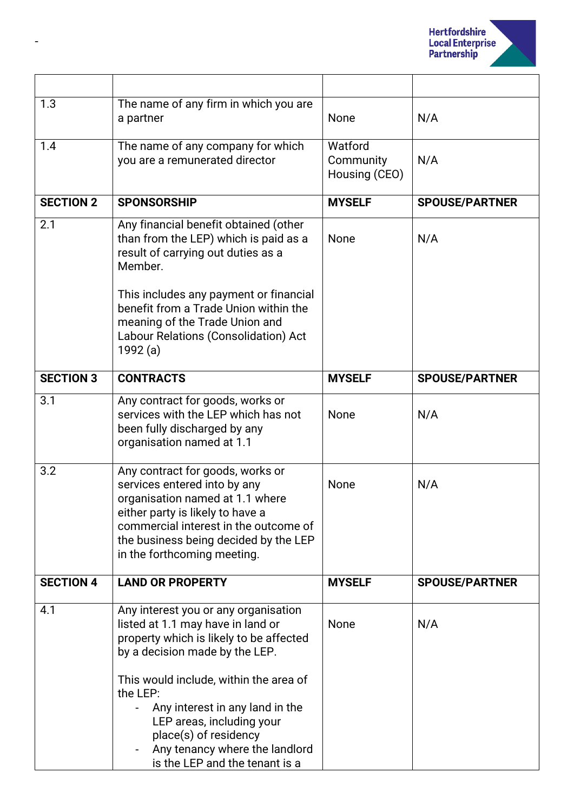

| 1.3              | The name of any firm in which you are<br>a partner                                                                                                                                                                                                                                                                                                                        | None                                  | N/A                   |
|------------------|---------------------------------------------------------------------------------------------------------------------------------------------------------------------------------------------------------------------------------------------------------------------------------------------------------------------------------------------------------------------------|---------------------------------------|-----------------------|
| 1.4              | The name of any company for which<br>you are a remunerated director                                                                                                                                                                                                                                                                                                       | Watford<br>Community<br>Housing (CEO) | N/A                   |
| <b>SECTION 2</b> | <b>SPONSORSHIP</b>                                                                                                                                                                                                                                                                                                                                                        | <b>MYSELF</b>                         | <b>SPOUSE/PARTNER</b> |
| 2.1              | Any financial benefit obtained (other<br>than from the LEP) which is paid as a<br>result of carrying out duties as a<br>Member.<br>This includes any payment or financial<br>benefit from a Trade Union within the<br>meaning of the Trade Union and<br>Labour Relations (Consolidation) Act<br>1992 (a)                                                                  | None                                  | N/A                   |
| <b>SECTION 3</b> | <b>CONTRACTS</b>                                                                                                                                                                                                                                                                                                                                                          | <b>MYSELF</b>                         | <b>SPOUSE/PARTNER</b> |
| 3.1              | Any contract for goods, works or<br>services with the LEP which has not<br>been fully discharged by any<br>organisation named at 1.1                                                                                                                                                                                                                                      | None                                  | N/A                   |
| 3.2              | Any contract for goods, works or<br>services entered into by any<br>organisation named at 1.1 where<br>either party is likely to have a<br>commercial interest in the outcome of<br>the business being decided by the LEP<br>in the forthcoming meeting.                                                                                                                  | None                                  | N/A                   |
| <b>SECTION 4</b> | <b>LAND OR PROPERTY</b>                                                                                                                                                                                                                                                                                                                                                   | <b>MYSELF</b>                         | <b>SPOUSE/PARTNER</b> |
| 4.1              | Any interest you or any organisation<br>listed at 1.1 may have in land or<br>property which is likely to be affected<br>by a decision made by the LEP.<br>This would include, within the area of<br>the LEP:<br>Any interest in any land in the<br>LEP areas, including your<br>place(s) of residency<br>Any tenancy where the landlord<br>is the LEP and the tenant is a | None                                  | N/A                   |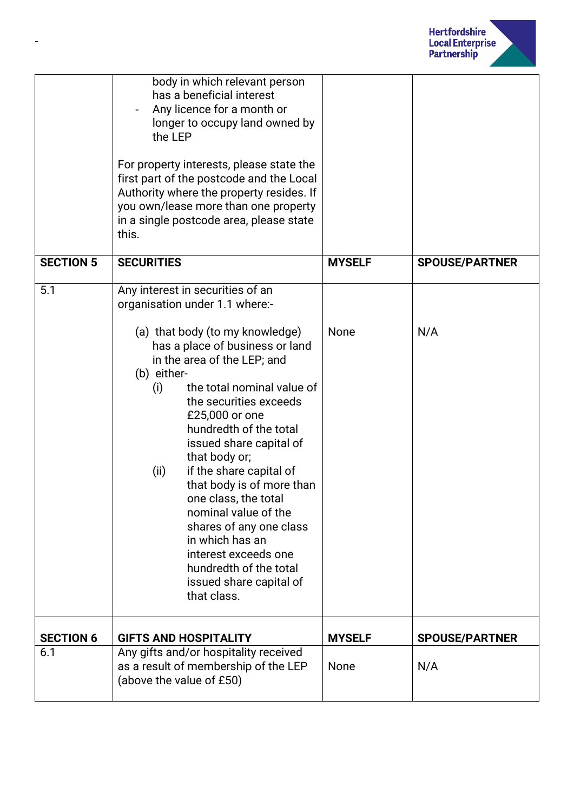

|                  | body in which relevant person<br>has a beneficial interest<br>Any licence for a month or<br>longer to occupy land owned by<br>the LEP<br>For property interests, please state the<br>first part of the postcode and the Local<br>Authority where the property resides. If<br>you own/lease more than one property<br>in a single postcode area, please state<br>this.                                                                                                                                                                                                                                   |               |                       |
|------------------|---------------------------------------------------------------------------------------------------------------------------------------------------------------------------------------------------------------------------------------------------------------------------------------------------------------------------------------------------------------------------------------------------------------------------------------------------------------------------------------------------------------------------------------------------------------------------------------------------------|---------------|-----------------------|
| <b>SECTION 5</b> | <b>SECURITIES</b>                                                                                                                                                                                                                                                                                                                                                                                                                                                                                                                                                                                       | <b>MYSELF</b> | <b>SPOUSE/PARTNER</b> |
| 5.1              | Any interest in securities of an<br>organisation under 1.1 where:-<br>(a) that body (to my knowledge)<br>has a place of business or land<br>in the area of the LEP; and<br>(b) either-<br>the total nominal value of<br>(i)<br>the securities exceeds<br>£25,000 or one<br>hundredth of the total<br>issued share capital of<br>that body or;<br>if the share capital of<br>(ii)<br>that body is of more than<br>one class, the total<br>nominal value of the<br>shares of any one class<br>in which has an<br>interest exceeds one<br>hundredth of the total<br>issued share capital of<br>that class. | None          | N/A                   |
| <b>SECTION 6</b> | <b>GIFTS AND HOSPITALITY</b>                                                                                                                                                                                                                                                                                                                                                                                                                                                                                                                                                                            | <b>MYSELF</b> | <b>SPOUSE/PARTNER</b> |
| 6.1              | Any gifts and/or hospitality received<br>as a result of membership of the LEP<br>(above the value of £50)                                                                                                                                                                                                                                                                                                                                                                                                                                                                                               | None          | N/A                   |

-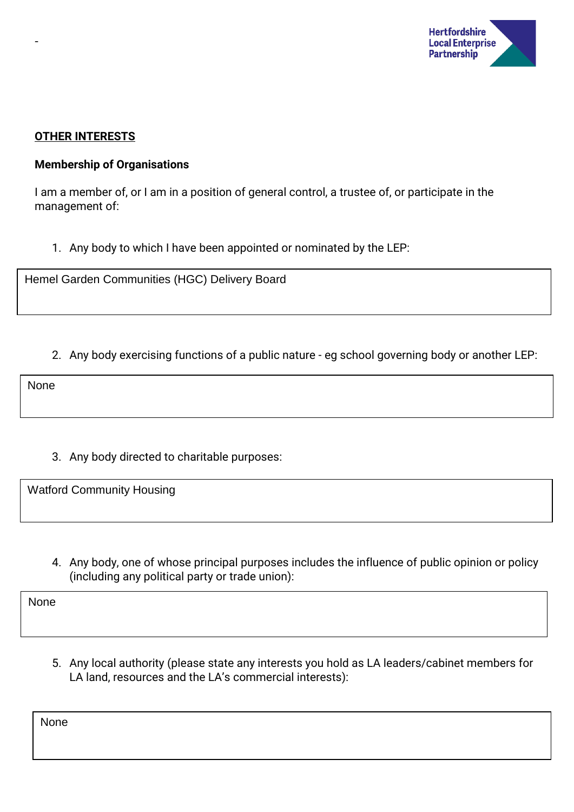

### **OTHER INTERESTS**

-

### **Membership of Organisations**

I am a member of, or I am in a position of general control, a trustee of, or participate in the management of:

1. Any body to which I have been appointed or nominated by the LEP:

Hemel Garden Communities (HGC) Delivery Board

2. Any body exercising functions of a public nature - eg school governing body or another LEP:

None

3. Any body directed to charitable purposes:

Watford Community Housing

4. Any body, one of whose principal purposes includes the influence of public opinion or policy (including any political party or trade union):

None

5. Any local authority (please state any interests you hold as LA leaders/cabinet members for LA land, resources and the LA's commercial interests):

None